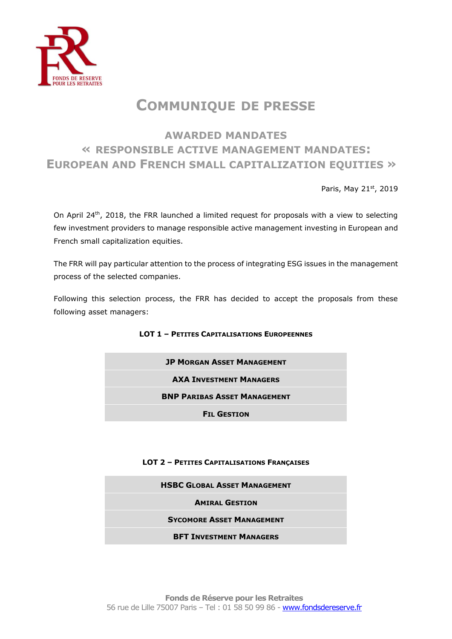

## **COMMUNIQUE DE PRESSE**

## **AWARDED MANDATES « RESPONSIBLE ACTIVE MANAGEMENT MANDATES: EUROPEAN AND FRENCH SMALL CAPITALIZATION EQUITIES »**

Paris, May 21st, 2019

On April 24<sup>th</sup>, 2018, the FRR launched a limited request for proposals with a view to selecting few investment providers to manage responsible active management investing in European and French small capitalization equities.

The FRR will pay particular attention to the process of integrating ESG issues in the management process of the selected companies.

Following this selection process, the FRR has decided to accept the proposals from these following asset managers:

## **LOT 1 – PETITES CAPITALISATIONS EUROPEENNES**

| <b>JP MORGAN ASSET MANAGEMENT</b>   |
|-------------------------------------|
| <b>AXA INVESTMENT MANAGERS</b>      |
| <b>BNP PARIBAS ASSET MANAGEMENT</b> |
| <b>FIL GESTION</b>                  |

## **LOT 2 – PETITES CAPITALISATIONS FRANÇAISES**

| <b>HSBC GLOBAL ASSET MANAGEMENT</b> |
|-------------------------------------|
| <b>AMIRAL GESTION</b>               |
| <b>SYCOMORE ASSET MANAGEMENT</b>    |
| <b>BFT INVESTMENT MANAGERS</b>      |
|                                     |